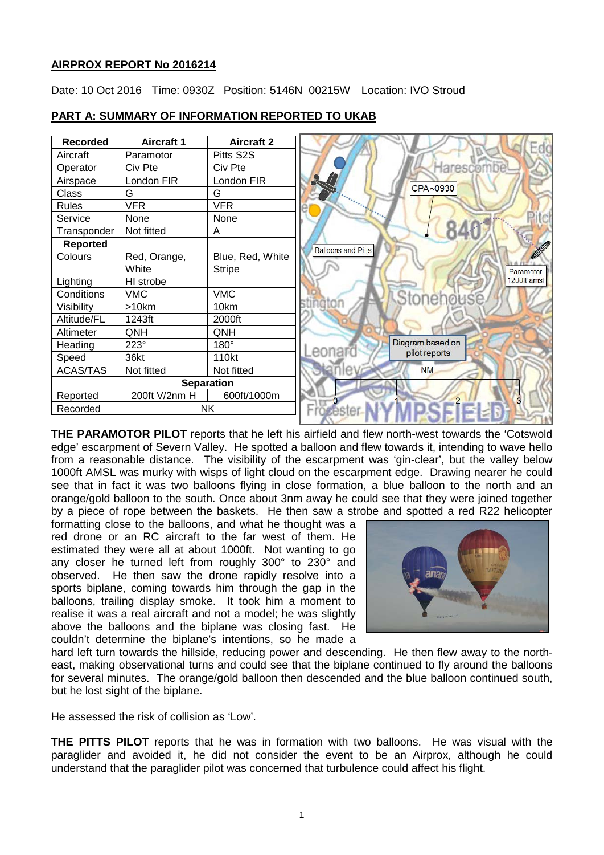# **AIRPROX REPORT No 2016214**

Date: 10 Oct 2016 Time: 0930Z Position: 5146N 00215W Location: IVO Stroud

| <b>Recorded</b> | <b>Aircraft 1</b> | <b>Aircraft 2</b> |
|-----------------|-------------------|-------------------|
| Aircraft        | Paramotor         | Pitts S2S         |
| Operator        | Civ Pte           | Civ Pte           |
| Airspace        | London FIR        | London FIR        |
| Class           | G                 | G                 |
| <b>Rules</b>    | <b>VFR</b>        | <b>VFR</b>        |
| Service         | None              | None              |
| Transponder     | Not fitted        | A                 |
| <b>Reported</b> |                   |                   |
| Colours         | Red, Orange,      | Blue, Red, White  |
|                 | White             | <b>Stripe</b>     |
| Lighting        | HI strobe         |                   |
| Conditions      | <b>VMC</b>        | <b>VMC</b>        |
| Visibility      | >10km             | 10km              |
| Altitude/FL     | 1243ft            | 2000ft            |
| Altimeter       | QNH               | QNH               |
| Heading         | $223^\circ$       | $180^\circ$       |
| Speed           | 36kt              | 110kt             |
| <b>ACAS/TAS</b> | Not fitted        | Not fitted        |
|                 |                   | <b>Separation</b> |
| Reported        | 200ft V/2nm H     | 600ft/1000m       |
| Recorded        |                   | <b>NK</b>         |

## **PART A: SUMMARY OF INFORMATION REPORTED TO UKAB**

**THE PARAMOTOR PILOT** reports that he left his airfield and flew north-west towards the 'Cotswold edge' escarpment of Severn Valley. He spotted a balloon and flew towards it, intending to wave hello from a reasonable distance. The visibility of the escarpment was 'gin-clear', but the valley below 1000ft AMSL was murky with wisps of light cloud on the escarpment edge. Drawing nearer he could see that in fact it was two balloons flying in close formation, a blue balloon to the north and an orange/gold balloon to the south. Once about 3nm away he could see that they were joined together by a piece of rope between the baskets. He then saw a strobe and spotted a red R22 helicopter

formatting close to the balloons, and what he thought was a red drone or an RC aircraft to the far west of them. He estimated they were all at about 1000ft. Not wanting to go any closer he turned left from roughly 300° to 230° and observed. He then saw the drone rapidly resolve into a sports biplane, coming towards him through the gap in the balloons, trailing display smoke. It took him a moment to realise it was a real aircraft and not a model; he was slightly above the balloons and the biplane was closing fast. He couldn't determine the biplane's intentions, so he made a



hard left turn towards the hillside, reducing power and descending. He then flew away to the northeast, making observational turns and could see that the biplane continued to fly around the balloons for several minutes. The orange/gold balloon then descended and the blue balloon continued south, but he lost sight of the biplane.

He assessed the risk of collision as 'Low'.

**THE PITTS PILOT** reports that he was in formation with two balloons. He was visual with the paraglider and avoided it, he did not consider the event to be an Airprox, although he could understand that the paraglider pilot was concerned that turbulence could affect his flight.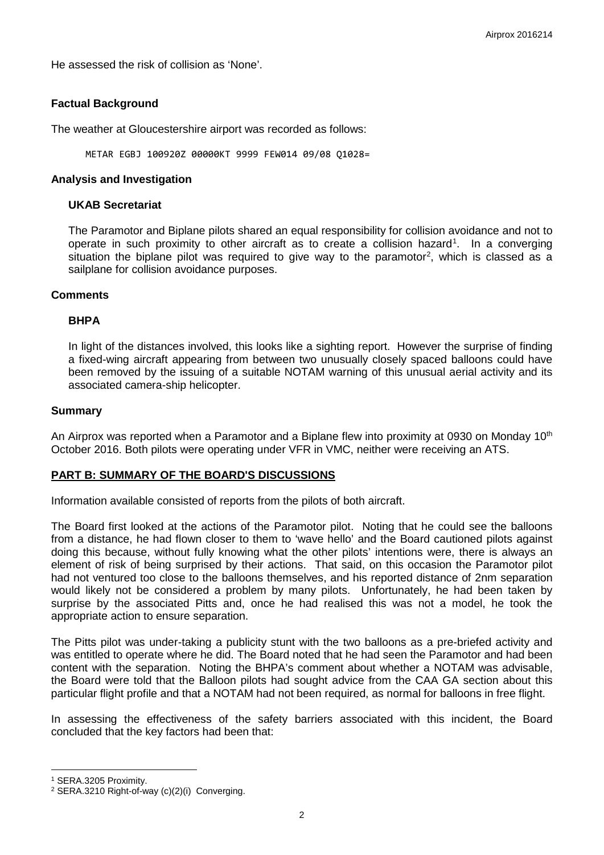He assessed the risk of collision as 'None'.

# **Factual Background**

The weather at Gloucestershire airport was recorded as follows:

METAR EGBJ 100920Z 00000KT 9999 FEW014 09/08 Q1028=

### **Analysis and Investigation**

#### **UKAB Secretariat**

The Paramotor and Biplane pilots shared an equal responsibility for collision avoidance and not to operate in such proximity to other aircraft as to create a collision hazard<sup>[1](#page-1-0)</sup>. In a converging situation the biplane pilot was required to give way to the paramotor<sup>[2](#page-1-1)</sup>, which is classed as a sailplane for collision avoidance purposes.

### **Comments**

### **BHPA**

In light of the distances involved, this looks like a sighting report. However the surprise of finding a fixed-wing aircraft appearing from between two unusually closely spaced balloons could have been removed by the issuing of a suitable NOTAM warning of this unusual aerial activity and its associated camera-ship helicopter.

### **Summary**

An Airprox was reported when a Paramotor and a Biplane flew into proximity at 0930 on Monday 10<sup>th</sup> October 2016. Both pilots were operating under VFR in VMC, neither were receiving an ATS.

# **PART B: SUMMARY OF THE BOARD'S DISCUSSIONS**

Information available consisted of reports from the pilots of both aircraft.

The Board first looked at the actions of the Paramotor pilot. Noting that he could see the balloons from a distance, he had flown closer to them to 'wave hello' and the Board cautioned pilots against doing this because, without fully knowing what the other pilots' intentions were, there is always an element of risk of being surprised by their actions. That said, on this occasion the Paramotor pilot had not ventured too close to the balloons themselves, and his reported distance of 2nm separation would likely not be considered a problem by many pilots. Unfortunately, he had been taken by surprise by the associated Pitts and, once he had realised this was not a model, he took the appropriate action to ensure separation.

The Pitts pilot was under-taking a publicity stunt with the two balloons as a pre-briefed activity and was entitled to operate where he did. The Board noted that he had seen the Paramotor and had been content with the separation. Noting the BHPA's comment about whether a NOTAM was advisable, the Board were told that the Balloon pilots had sought advice from the CAA GA section about this particular flight profile and that a NOTAM had not been required, as normal for balloons in free flight.

In assessing the effectiveness of the safety barriers associated with this incident, the Board concluded that the key factors had been that:

l

<span id="page-1-0"></span><sup>1</sup> SERA.3205 Proximity.

<span id="page-1-1"></span><sup>2</sup> SERA.3210 Right-of-way (c)(2)(i) Converging.